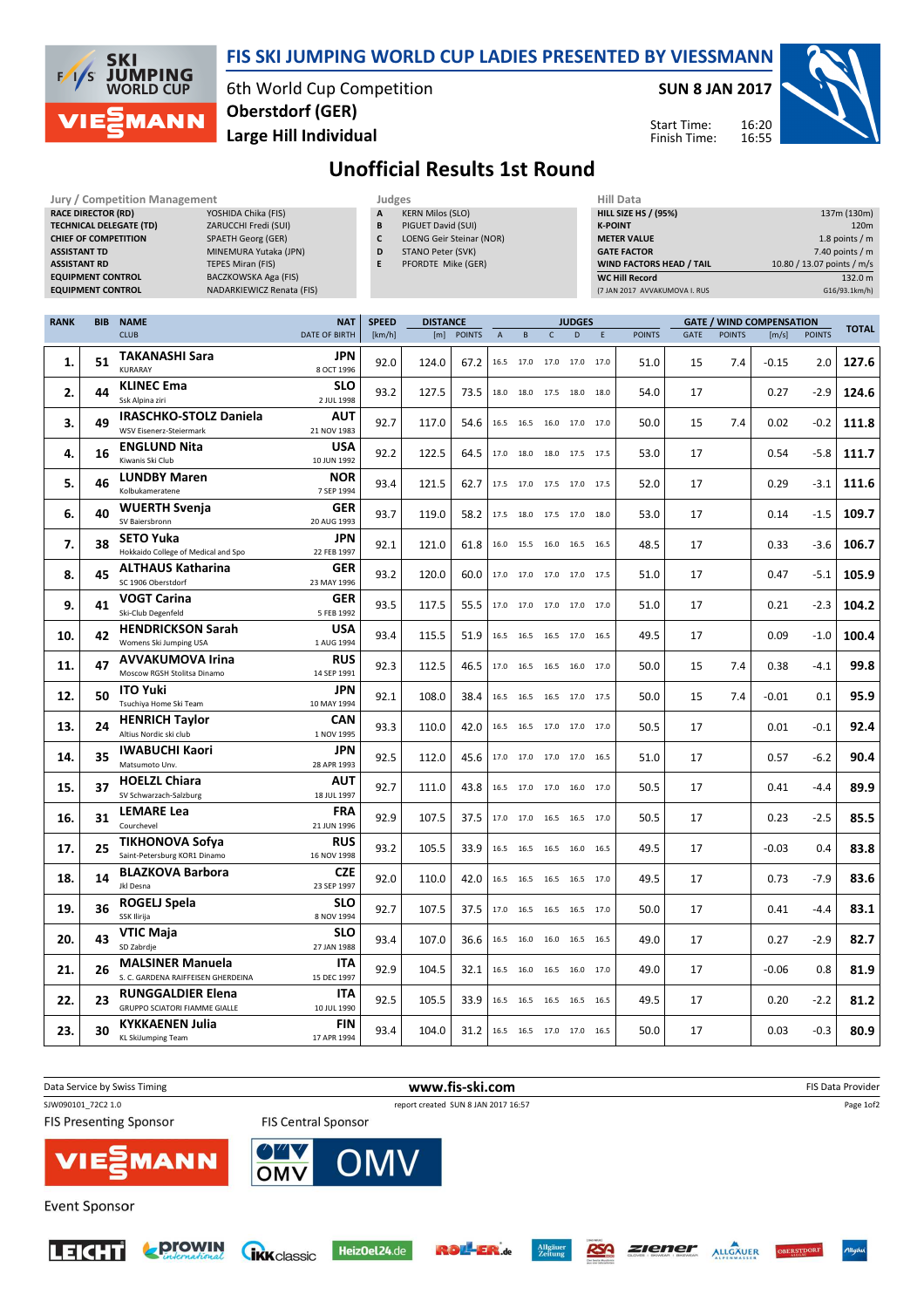

TECHNICAL DELEGATE (TD) ZARUCCHI Fredi (SUI)

RACE DIRECTOR (RD)

## FIS SKI JUMPING WORLD CUP LADIES PRESENTED BY VIESSMANN

6th World Cup Competition Large Hill Individual Oberstdorf (GER)

Jury / Competition Management **Judges** Judges Hill Data<br> **RACE DIRECTOR (RD)** YOSHIDA Chika (FIS) **A KERN Milos (SLO)** HILL SIZE HILL SIZE

SUN 8 JAN 2017

HILL SIZE HS / (95%) 137m (130m) **K-POINT** 220m

Start Time: Finish Time:



## Unofficial Results 1st Round

A KERN Milos (SLO) B PIGUET David (SUI)

| <b>ASSISTANT TD</b><br><b>ASSISTANT RD</b><br><b>EQUIPMENT CONTROL</b><br><b>EQUIPMENT CONTROL</b> |            | <b>CHIEF OF COMPETITION</b><br>SPAETH Georg (GER)<br>MINEMURA Yutaka (JPN)<br><b>TEPES Miran (FIS)</b><br>BACZKOWSKA Aga (FIS)<br>NADARKIEWICZ Renata (FIS) |                           | c<br>D<br>E  | <b>LOENG Geir Steinar (NOR)</b><br>STANO Peter (SVK)<br>PFORDTE Mike (GER) |            |                |                |                          |               |   | <b>METER VALUE</b><br><b>GATE FACTOR</b><br>WIND FACTORS HEAD / TAIL<br><b>WC Hill Record</b><br>(7 JAN 2017 AVVAKUMOVA I. RUS |             |               |                                 | 10.80 / 13.07 points / m/s | 1.8 points / $m$<br>7.40 points / m<br>132.0 m<br>G16/93.1km/h) |
|----------------------------------------------------------------------------------------------------|------------|-------------------------------------------------------------------------------------------------------------------------------------------------------------|---------------------------|--------------|----------------------------------------------------------------------------|------------|----------------|----------------|--------------------------|---------------|---|--------------------------------------------------------------------------------------------------------------------------------|-------------|---------------|---------------------------------|----------------------------|-----------------------------------------------------------------|
| <b>RANK</b>                                                                                        | <b>BIB</b> | <b>NAME</b>                                                                                                                                                 | <b>NAT</b>                | <b>SPEED</b> | <b>DISTANCE</b>                                                            |            |                |                |                          | <b>JUDGES</b> |   |                                                                                                                                |             |               | <b>GATE / WIND COMPENSATION</b> |                            | <b>TOTAL</b>                                                    |
|                                                                                                    |            | <b>CLUB</b>                                                                                                                                                 | <b>DATE OF BIRTH</b>      | [km/h]       |                                                                            | [m] POINTS | $\overline{A}$ | B              | $\mathsf{C}$             | D             | E | <b>POINTS</b>                                                                                                                  | <b>GATE</b> | <b>POINTS</b> | [m/s]                           | <b>POINTS</b>              |                                                                 |
| 1.                                                                                                 | 51         | <b>TAKANASHI Sara</b><br><b>KURARAY</b>                                                                                                                     | JPN<br>8 OCT 1996         | 92.0         | 124.0                                                                      | 67.2       |                |                | 16.5 17.0 17.0 17.0 17.0 |               |   | 51.0                                                                                                                           | 15          | 7.4           | $-0.15$                         | 2.0                        | 127.6                                                           |
| 2.                                                                                                 | 44         | <b>KLINEC Ema</b><br>Ssk Alpina ziri                                                                                                                        | SLO<br>2 JUL 1998         | 93.2         | 127.5                                                                      | 73.5       | 18.0           |                | 18.0 17.5 18.0 18.0      |               |   | 54.0                                                                                                                           | 17          |               | 0.27                            | $-2.9$                     | 124.6                                                           |
| 3.                                                                                                 | 49         | <b>IRASCHKO-STOLZ Daniela</b><br>WSV Eisenerz-Steiermark                                                                                                    | <b>AUT</b><br>21 NOV 1983 | 92.7         | 117.0                                                                      | 54.6       |                |                | 16.5 16.5 16.0 17.0 17.0 |               |   | 50.0                                                                                                                           | 15          | 7.4           | 0.02                            | $-0.2$                     | 111.8                                                           |
| 4.                                                                                                 | 16         | <b>ENGLUND Nita</b><br>Kiwanis Ski Club                                                                                                                     | <b>USA</b><br>10 JUN 1992 | 92.2         | 122.5                                                                      | 64.5       |                |                | 17.0 18.0 18.0 17.5 17.5 |               |   | 53.0                                                                                                                           | 17          |               | 0.54                            | $-5.8$                     | 111.7                                                           |
| 5.                                                                                                 | 46         | <b>LUNDBY Maren</b><br>Kolbukameratene                                                                                                                      | <b>NOR</b><br>7 SEP 1994  | 93.4         | 121.5                                                                      | 62.7       |                |                | 17.5 17.0 17.5 17.0 17.5 |               |   | 52.0                                                                                                                           | 17          |               | 0.29                            | $-3.1$                     | 111.6                                                           |
| 6.                                                                                                 | 40         | <b>WUERTH Svenja</b><br>SV Baiersbronn                                                                                                                      | <b>GER</b><br>20 AUG 1993 | 93.7         | 119.0                                                                      | 58.2       |                |                | 17.5 18.0 17.5 17.0 18.0 |               |   | 53.0                                                                                                                           | 17          |               | 0.14                            | -1.5                       | 109.7                                                           |
| 7.                                                                                                 | 38         | <b>SETO Yuka</b><br>Hokkaido College of Medical and Spo                                                                                                     | JPN<br>22 FEB 1997        | 92.1         | 121.0                                                                      | 61.8       |                |                | 16.0 15.5 16.0 16.5 16.5 |               |   | 48.5                                                                                                                           | 17          |               | 0.33                            | -3.6                       | 106.7                                                           |
| 8.                                                                                                 | 45         | <b>ALTHAUS Katharina</b><br>SC 1906 Oberstdorf                                                                                                              | <b>GER</b><br>23 MAY 1996 | 93.2         | 120.0                                                                      | 60.0       |                |                | 17.0 17.0 17.0 17.0 17.5 |               |   | 51.0                                                                                                                           | 17          |               | 0.47                            | $-5.1$                     | 105.9                                                           |
| 9.                                                                                                 | 41         | <b>VOGT Carina</b><br>Ski-Club Degenfeld                                                                                                                    | <b>GER</b><br>5 FEB 1992  | 93.5         | 117.5                                                                      | 55.5       |                | 17.0 17.0 17.0 |                          | 17.0 17.0     |   | 51.0                                                                                                                           | 17          |               | 0.21                            | $-2.3$                     | 104.2                                                           |
| 10.                                                                                                | 42         | <b>HENDRICKSON Sarah</b><br>Womens Ski Jumping USA                                                                                                          | <b>USA</b><br>1 AUG 1994  | 93.4         | 115.5                                                                      | 51.9       |                |                | 16.5 16.5 16.5 17.0 16.5 |               |   | 49.5                                                                                                                           | 17          |               | 0.09                            | $-1.0$                     | 100.4                                                           |
| 11.                                                                                                | 47         | <b>AVVAKUMOVA Irina</b><br>Moscow RGSH Stolitsa Dinamo                                                                                                      | <b>RUS</b><br>14 SEP 1991 | 92.3         | 112.5                                                                      | 46.5       |                |                | 17.0 16.5 16.5 16.0 17.0 |               |   | 50.0                                                                                                                           | 15          | 7.4           | 0.38                            | $-4.1$                     | 99.8                                                            |
| 12.                                                                                                | 50         | <b>ITO Yuki</b><br>Tsuchiya Home Ski Team                                                                                                                   | <b>JPN</b><br>10 MAY 1994 | 92.1         | 108.0                                                                      | 38.4       |                |                | 16.5 16.5 16.5 17.0 17.5 |               |   | 50.0                                                                                                                           | 15          | 7.4           | $-0.01$                         | 0.1                        | 95.9                                                            |
| 13.                                                                                                | 24         | <b>HENRICH Taylor</b><br>Altius Nordic ski club                                                                                                             | <b>CAN</b><br>1 NOV 1995  | 93.3         | 110.0                                                                      | 42.0       |                | 16.5 16.5 17.0 |                          | 17.0 17.0     |   | 50.5                                                                                                                           | 17          |               | 0.01                            | $-0.1$                     | 92.4                                                            |
| 14.                                                                                                | 35         | <b>IWABUCHI Kaori</b><br>Matsumoto Unv.                                                                                                                     | <b>JPN</b><br>28 APR 1993 | 92.5         | 112.0                                                                      | 45.6       |                | 17.0 17.0 17.0 |                          | 17.0 16.5     |   | 51.0                                                                                                                           | 17          |               | 0.57                            | $-6.2$                     | 90.4                                                            |
| 15.                                                                                                | 37         | <b>HOELZL Chiara</b><br>SV Schwarzach-Salzburg                                                                                                              | AUT<br>18 JUL 1997        | 92.7         | 111.0                                                                      | 43.8       |                |                | 16.5 17.0 17.0 16.0 17.0 |               |   | 50.5                                                                                                                           | 17          |               | 0.41                            | $-4.4$                     | 89.9                                                            |
| 16.                                                                                                | 31         | <b>LEMARE Lea</b><br>Courchevel                                                                                                                             | <b>FRA</b><br>21 JUN 1996 | 92.9         | 107.5                                                                      | 37.5       | 17.0           |                | 17.0 16.5 16.5 17.0      |               |   | 50.5                                                                                                                           | 17          |               | 0.23                            | $-2.5$                     | 85.5                                                            |
| 17.                                                                                                | 25         | <b>TIKHONOVA Sofya</b><br>Saint-Petersburg KOR1 Dinamo                                                                                                      | <b>RUS</b><br>16 NOV 1998 | 93.2         | 105.5                                                                      | 33.9       | 16.5           | 16.5 16.5      |                          | 16.0 16.5     |   | 49.5                                                                                                                           | 17          |               | $-0.03$                         | 0.4                        | 83.8                                                            |
| 18.                                                                                                | 14         | <b>BLAZKOVA Barbora</b><br>Jkl Desna                                                                                                                        | <b>CZE</b><br>23 SEP 1997 | 92.0         | 110.0                                                                      | 42.0       |                |                | 16.5 16.5 16.5 16.5 17.0 |               |   | 49.5                                                                                                                           | 17          |               | 0.73                            | $-7.9$                     | 83.6                                                            |
| 19.                                                                                                | 36         | ROGELJ Spela<br>SSK Ilirija                                                                                                                                 | <b>SLO</b><br>8 NOV 1994  | 92.7         | 107.5                                                                      | 37.5       |                |                | 17.0 16.5 16.5 16.5 17.0 |               |   | 50.0                                                                                                                           | 17          |               | 0.41                            | $-4.4$                     | 83.1                                                            |
| 20.                                                                                                | 43         | <b>VTIC Maja</b><br>SD Zabrdie                                                                                                                              | <b>SLO</b><br>27 JAN 1988 | 93.4         | 107.0                                                                      | 36.6       |                |                | 16.5 16.0 16.0 16.5 16.5 |               |   | 49.0                                                                                                                           | 17          |               | 0.27                            | -2.9                       | 82.7                                                            |
| 21.                                                                                                | 26         | <b>MALSINER Manuela</b><br>S. C. GARDENA RAIFFEISEN GHERDEINA                                                                                               | ITA<br>15 DEC 1997        | 92.9         | 104.5                                                                      | 32.1       |                |                | 16.5 16.0 16.5 16.0 17.0 |               |   | 49.0                                                                                                                           | 17          |               | $-0.06$                         | 0.8                        | 81.9                                                            |
| 22.                                                                                                | 23         | <b>RUNGGALDIER Elena</b><br><b>GRUPPO SCIATORI FIAMME GIALLE</b>                                                                                            | ITA<br>10 JUL 1990        | 92.5         | 105.5                                                                      | 33.9       |                |                | 16.5 16.5 16.5 16.5 16.5 |               |   | 49.5                                                                                                                           | 17          |               | 0.20                            | $-2.2$                     | 81.2                                                            |
| 23.                                                                                                | 30         | <b>KYKKAENEN Julia</b><br>KL SkiJumping Team                                                                                                                | <b>FIN</b><br>17 APR 1994 | 93.4         | 104.0                                                                      | 31.2       |                |                | 16.5 16.5 17.0 17.0 16.5 |               |   | 50.0                                                                                                                           | 17          |               | 0.03                            | $-0.3$                     | 80.9                                                            |
|                                                                                                    |            |                                                                                                                                                             |                           |              |                                                                            |            |                |                |                          |               |   |                                                                                                                                |             |               |                                 |                            |                                                                 |